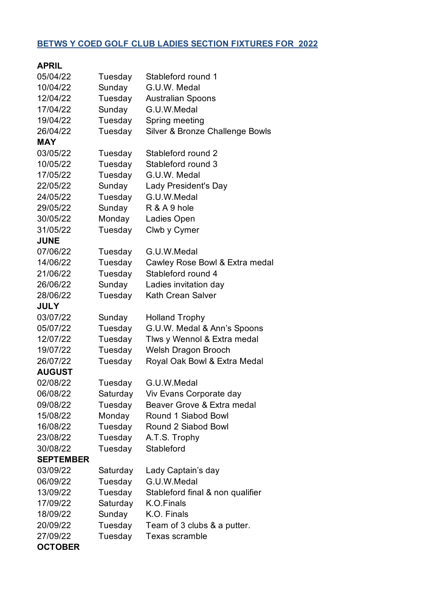## **BETWS Y COED GOLF CLUB LADIES SECTION FIXTURES FOR 2022**

| <b>APRIL</b>     |          |                                  |
|------------------|----------|----------------------------------|
| 05/04/22         | Tuesday  | Stableford round 1               |
| 10/04/22         | Sunday   | G.U.W. Medal                     |
| 12/04/22         | Tuesday  | <b>Australian Spoons</b>         |
| 17/04/22         | Sunday   | G.U.W.Medal                      |
| 19/04/22         | Tuesday  | Spring meeting                   |
| 26/04/22         | Tuesday  | Silver & Bronze Challenge Bowls  |
| <b>MAY</b>       |          |                                  |
| 03/05/22         | Tuesday  | Stableford round 2               |
| 10/05/22         | Tuesday  | Stableford round 3               |
| 17/05/22         | Tuesday  | G.U.W. Medal                     |
| 22/05/22         | Sunday   | Lady President's Day             |
| 24/05/22         | Tuesday  | G.U.W.Medal                      |
| 29/05/22         | Sunday   | R & A 9 hole                     |
| 30/05/22         | Monday   | Ladies Open                      |
| 31/05/22         | Tuesday  | Clwb y Cymer                     |
| <b>JUNE</b>      |          |                                  |
| 07/06/22         | Tuesday  | G.U.W.Medal                      |
| 14/06/22         | Tuesday  | Cawley Rose Bowl & Extra medal   |
| 21/06/22         | Tuesday  | Stableford round 4               |
| 26/06/22         | Sunday   | Ladies invitation day            |
| 28/06/22         | Tuesday  | Kath Crean Salver                |
| <b>JULY</b>      |          |                                  |
| 03/07/22         | Sunday   | <b>Holland Trophy</b>            |
| 05/07/22         | Tuesday  | G.U.W. Medal & Ann's Spoons      |
| 12/07/22         | Tuesday  | Tlws y Wennol & Extra medal      |
| 19/07/22         | Tuesday  | Welsh Dragon Brooch              |
| 26/07/22         | Tuesday  | Royal Oak Bowl & Extra Medal     |
| <b>AUGUST</b>    |          |                                  |
| 02/08/22         | Tuesday  | G.U.W.Medal                      |
| 06/08/22         | Saturday | Viv Evans Corporate day          |
| 09/08/22         | Tuesday  | Beaver Grove & Extra medal       |
| 15/08/22         | Monday   | Round 1 Siabod Bowl              |
| 16/08/22         | Tuesday  | Round 2 Siabod Bowl              |
| 23/08/22         | Tuesday  | A.T.S. Trophy                    |
| 30/08/22         | Tuesday  | Stableford                       |
| <b>SEPTEMBER</b> |          |                                  |
| 03/09/22         | Saturday | Lady Captain's day               |
| 06/09/22         | Tuesday  | G.U.W.Medal                      |
| 13/09/22         | Tuesday  | Stableford final & non qualifier |
| 17/09/22         | Saturday | K.O.Finals                       |
| 18/09/22         | Sunday   | K.O. Finals                      |
| 20/09/22         | Tuesday  | Team of 3 clubs & a putter.      |
| 27/09/22         | Tuesday  | Texas scramble                   |
| <b>OCTOBER</b>   |          |                                  |